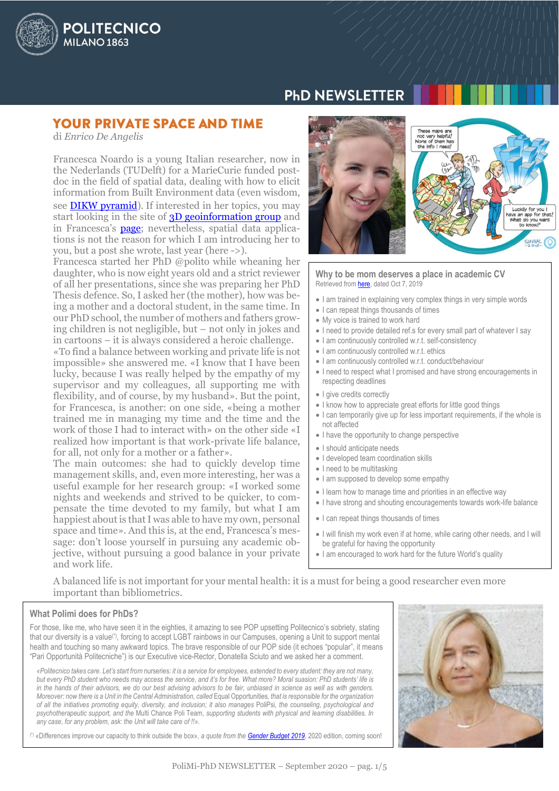

# **PHD NEWSLETTER**

## **YOUR PRIVATE SPACE AND TIME**

di *Enrico De Angelis*

Francesca Noardo is a young Italian researcher, now in the Nederlands (TUDelft) for a MarieCurie funded postdoc in the field of spatial data, dealing with how to elicit information from Built Environment data (even wisdom, see [DIKW pyramid\)](https://en.wikipedia.org/wiki/DIKW_pyramid). If interested in her topics, you may start looking in the site of [3D geoinformation group](https://3d.bk.tudelft.nl/) and in Francesca's **page**; nevertheless, spatial data applications is not the reason for which I am introducing her to you, but a post she wrote, last year (here ->).

Francesca started her PhD @polito while wheaning her daughter, who is now eight years old and a strict reviewer of all her presentations, since she was preparing her PhD Thesis defence. So, I asked her (the mother), how was being a mother and a doctoral student, in the same time. In our PhD school, the number of mothers and fathers growing children is not negligible, but – not only in jokes and in cartoons – it is always considered a heroic challenge.

«To find a balance between working and private life is not impossible» she answered me. «I know that I have been lucky, because I was really helped by the empathy of my supervisor and my colleagues, all supporting me with flexibility, and of course, by my husband». But the point, for Francesca, is another: on one side, «being a mother trained me in managing my time and the time and the work of those I had to interact with» on the other side «I realized how important is that work-private life balance, for all, not only for a mother or a father».

The main outcomes: she had to quickly develop time management skills, and, even more interesting, her was a useful example for her research group: «I worked some nights and weekends and strived to be quicker, to compensate the time devoted to my family, but what I am happiest about is that I was able to have my own, personal space and time». And this is, at the end, Francesca's message: don't loose yourself in pursuing any academic objective, without pursuing a good balance in your private and work life.



**Why to be mom deserves a place in academic CV** Retrieved fro[m here,](http://www.noardo.eu/jekyll/update/2019/10/07/moms-academia.html) dated Oct 7, 2019

- I am trained in explaining very complex things in very simple words
- I can repeat things thousands of times
- My voice is trained to work hard
- I need to provide detailed ref.s for every small part of whatever I say
- I am continuously controlled w.r.t. self-consistency
- I am continuously controlled w.r.t. ethics
- I am continuously controlled w.r.t. conduct/behaviour
- I need to respect what I promised and have strong encouragements in respecting deadlines
- I give credits correctly
- I know how to appreciate great efforts for little good things
- I can temporarily give up for less important requirements, if the whole is not affected
- I have the opportunity to change perspective
- I should anticipate needs
- I developed team coordination skills
- I need to be multitasking
- I am supposed to develop some empathy
- I learn how to manage time and priorities in an effective way
- I have strong and shouting encouragements towards work-life balance
- I can repeat things thousands of times
- I will finish my work even if at home, while caring other needs, and I will be grateful for having the opportunity
- I am encouraged to work hard for the future World's quality

A balanced life is not important for your mental health: it is a must for being a good researcher even more important than bibliometrics.

#### **What Polimi does for PhDs?**

For those, like me, who have seen it in the eighties, it amazing to see POP upsetting Politecnico's sobriety, stating that our diversity is a value(\*), forcing to accept LGBT rainbows in our Campuses, opening a Unit to support mental health and touching so many awkward topics. The brave responsible of our POP side (it echoes "popular", it means "Pari Opportunità Politecniche") is our Executive vice-Rector, Donatella Sciuto and we asked her a comment.

*«Politecnico takes care. Let's start from* nurseries*: it is a service for employees, extended to every student: they are not many, but every PhD student who needs may access the service, and it's for free. What more? Moral suasion: PhD students' life is in the hands of their advisors, we do our best advising advisors to be fair, unbiased in science as well as with genders. Moreover: now there is a Unit in the Central Administration, called* Equal Opportunities*, that is responsible for the organization of all the initiatives promoting equity, diversity, and inclusion; it also manages* PoliPsi*, the counseling, psychological and psychotherapeutic support, and the* Multi Chance Poli Team*, supporting students with physical and learning disabilities. In any case, for any problem, ask: the Unit will take care of !!».*

(\*) «Differences improve our capacity to think outside the box»*, a quote from the [Gender Budget 2019](http://www.polimi.it/en/the-politecnico/about-polimi/gender-budget/)*, 2020 edition, coming soon!

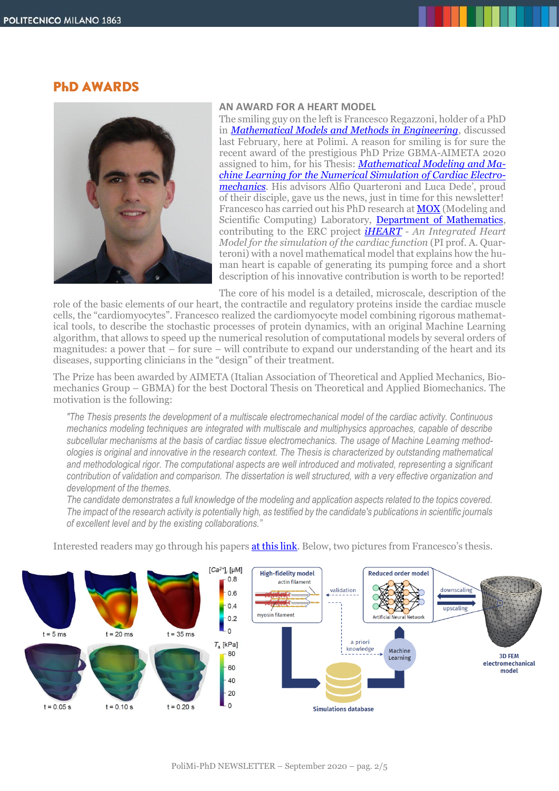## **PHD AWARDS**



#### **AN AWARD FOR A HEART MODEL**

The smiling guy on the left is Francesco Regazzoni, holder of a PhD in *[Mathematical Models and Methods in Engineering](https://www.mate.polimi.it/dottorato/)*, discussed last February, here at Polimi. A reason for smiling is for sure the recent award of the prestigious PhD Prize GBMA-AIMETA 2020 assigned to him, for his Thesis: *[Mathematical Modeling and Ma](http://hdl.handle.net/10589/152617)chine Learning for the [Numerical Simulation of Cardiac Electro](http://hdl.handle.net/10589/152617)[mechanics](http://hdl.handle.net/10589/152617)*. His advisors Alfio Quarteroni and Luca Dede', proud of their disciple, gave us the news, just in time for this newsletter! Francesco has carried out his PhD research at **MOX** (Modeling and Scientific Computing) Laboratory, [Department of Mathematics,](https://www.mate.polimi.it/) contributing to the ERC project *[iHEART](https://iheart.polimi.it/) - An Integrated Heart Model for the simulation of the cardiac function* (PI prof. A. Quarteroni) with a novel mathematical model that explains how the human heart is capable of generating its pumping force and a short description of his innovative contribution is worth to be reported!

The core of his model is a detailed, microscale, description of the

role of the basic elements of our heart, the contractile and regulatory proteins inside the cardiac muscle cells, the "cardiomyocytes". Francesco realized the cardiomyocyte model combining rigorous mathematical tools, to describe the stochastic processes of protein dynamics, with an original Machine Learning algorithm, that allows to speed up the numerical resolution of computational models by several orders of magnitudes: a power that – for sure – will contribute to expand our understanding of the heart and its diseases, supporting clinicians in the "design" of their treatment.

The Prize has been awarded by AIMETA (Italian Association of Theoretical and Applied Mechanics, Biomechanics Group – GBMA) for the best Doctoral Thesis on Theoretical and Applied Biomechanics. The motivation is the following:

*"The Thesis presents the development of a multiscale electromechanical model of the cardiac activity. Continuous mechanics modeling techniques are integrated with multiscale and multiphysics approaches, capable of describe subcellular mechanisms at the basis of cardiac tissue electromechanics. The usage of Machine Learning methodologies is original and innovative in the research context. The Thesis is characterized by outstanding mathematical and methodological rigor. The computational aspects are well introduced and motivated, representing a significant contribution of validation and comparison. The dissertation is well structured, with a very effective organization and development of the themes.*

*The candidate demonstrates a full knowledge of the modeling and application aspects related to the topics covered. The impact of the research activity is potentially high, as testified by the candidate's publications in scientific journals of excellent level and by the existing collaborations."*

Interested readers may go through his paper[s at this link](https://scholar.google.it/citations?user=9xq4ulgAAAAJ). Below, two pictures from Francesco's thesis.

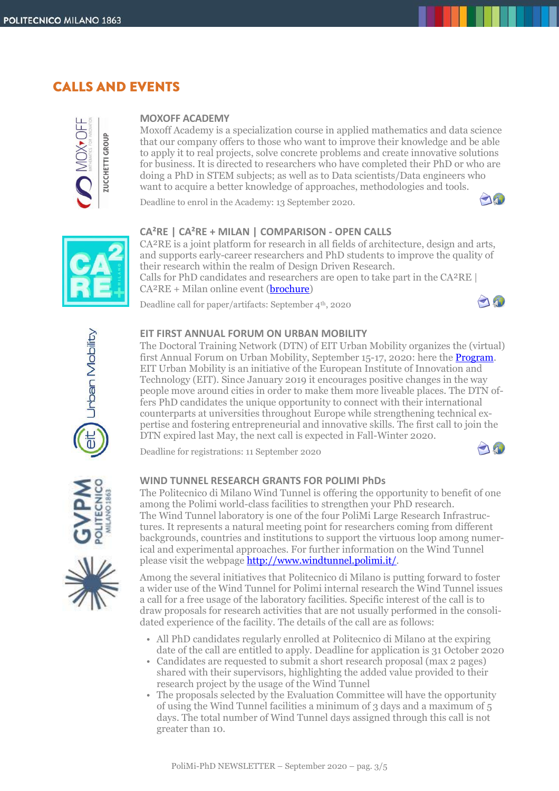# **CALLS AND EVENTS**



## **MOXOFF ACADEMY**

Moxoff Academy is a specialization course in applied mathematics and data science that our company offers to those who want to improve their knowledge and be able to apply it to real projects, solve concrete problems and create innovative solutions for business. It is directed to researchers who have completed their PhD or who are doing a PhD in STEM subjects; as well as to Data scientists/Data engineers who want to acquire a better knowledge of approaches, methodologies and tools.

Deadline to enrol in the Academy: 13 September 2020.





## **CA²RE | CA²RE + MILAN | COMPARISON - OPEN CALLS**

CA²RE is a joint platform for research in all fields of architecture, design and arts, and supports early-career researchers and PhD students to improve the quality of their research within the realm of Design Driven Research. Calls for PhD candidates and researchers are open to take part in the CA²RE |  $CA<sup>2</sup>RE + Milan online event (**brochure**)$ 

Deadline call for paper/artifacts: September 4th, 2020





## **EIT FIRST ANNUAL FORUM ON URBAN MOBILITY**

The Doctoral Training Network (DTN) of EIT Urban Mobility organizes the (virtual) first Annual Forum on Urban Mobility, September 15-17, 2020: here the **Program**. EIT Urban Mobility is an initiative of the European Institute of Innovation and Technology (EIT). Since January 2019 it encourages positive changes in the way people move around cities in order to make them more liveable places. The DTN offers PhD candidates the unique opportunity to connect with their international counterparts at universities throughout Europe while strengthening technical expertise and fostering entrepreneurial and innovative skills. The first call to join the DTN expired last May, the next call is expected in Fall-Winter 2020.

Deadline for registrations: 11 September 2020





## **WIND TUNNEL RESEARCH GRANTS FOR POLIMI PhDs**

The Politecnico di Milano Wind Tunnel is offering the opportunity to benefit of one among the Polimi world-class facilities to strengthen your PhD research. The Wind Tunnel laboratory is one of the four PoliMi Large Research Infrastructures. It represents a natural meeting point for researchers coming from different backgrounds, countries and institutions to support the virtuous loop among numerical and experimental approaches. For further information on the Wind Tunnel please visit the webpag[e http://www.windtunnel.polimi.it/.](http://www.windtunnel.polimi.it/)

Among the several initiatives that Politecnico di Milano is putting forward to foster a wider use of the Wind Tunnel for Polimi internal research the Wind Tunnel issues a call for a free usage of the laboratory facilities. Specific interest of the call is to draw proposals for research activities that are not usually performed in the consolidated experience of the facility. The details of the call are as follows:

- All PhD candidates regularly enrolled at Politecnico di Milano at the expiring date of the call are entitled to apply. Deadline for application is 31 October 2020
- Candidates are requested to submit a short research proposal (max 2 pages) shared with their supervisors, highlighting the added value provided to their research project by the usage of the Wind Tunnel
- The proposals selected by the Evaluation Committee will have the opportunity of using the Wind Tunnel facilities a minimum of 3 days and a maximum of 5 days. The total number of Wind Tunnel days assigned through this call is not greater than 10.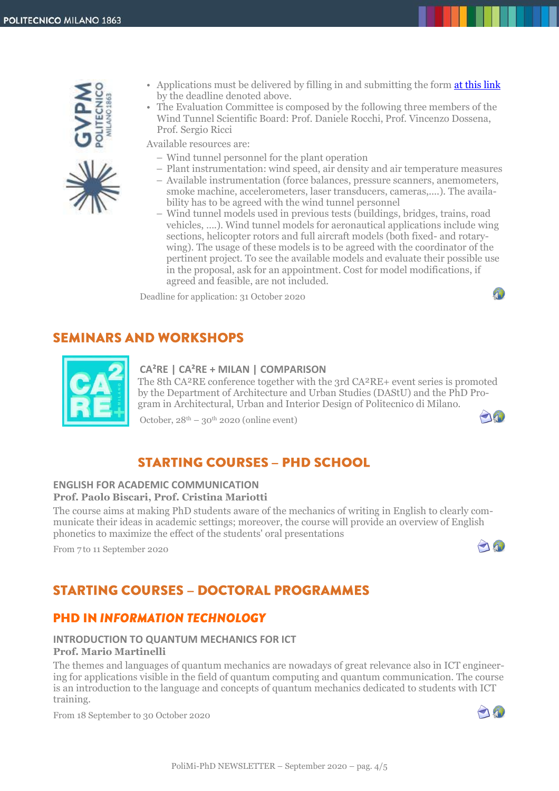

- Applications must be delivered by filling in and submitting the form [at this link](https://forms.office.com/Pages/ResponsePage.aspx?id=K3EXCvNtXUKAjjCd8ope6xol9bKvH_JDtRTv3iR88zVUOUZBNU9DQjQ4VllMOVA0SEtMUFhLNEtNNC4u) by the deadline denoted above.
- The Evaluation Committee is composed by the following three members of the Wind Tunnel Scientific Board: Prof. Daniele Rocchi, Prof. Vincenzo Dossena, Prof. Sergio Ricci

Available resources are:

- Wind tunnel personnel for the plant operation
- Plant instrumentation: wind speed, air density and air temperature measures
- Available instrumentation (force balances, pressure scanners, anemometers, smoke machine, accelerometers, laser transducers, cameras,....). The availability has to be agreed with the wind tunnel personnel
- Wind tunnel models used in previous tests (buildings, bridges, trains, road vehicles, ….). Wind tunnel models for aeronautical applications include wing sections, helicopter rotors and full aircraft models (both fixed- and rotarywing). The usage of these models is to be agreed with the coordinator of the pertinent project. To see the available models and evaluate their possible use in the proposal, ask for an appointment. Cost for model modifications, if agreed and feasible, are not included.

Deadline for application: 31 October 2020

## **SEMINARS AND WORKSHOPS**



## **CA²RE | CA²RE + MILAN | COMPARISON**

The 8th CA²RE conference together with the 3rd CA²RE+ event series is promoted by the Department of Architecture and Urban Studies (DAStU) and the PhD Program in Architectural, Urban and Interior Design of Politecnico di Milano.

October,  $28<sup>th</sup> - 30<sup>th</sup>$  2020 (online event)

## **STARTING COURSES - PHD SCHOOL**

#### **ENGLISH FOR ACADEMIC COMMUNICATION Prof. Paolo Biscari, Prof. Cristina Mariotti**

The course aims at making PhD students aware of the mechanics of writing in English to clearly communicate their ideas in academic settings; moreover, the course will provide an overview of English phonetics to maximize the effect of the students' oral presentations

From 7 to 11 September 2020

## $\bigcap_{i=1}^n$

740

Ą)

# **STARTING COURSES - DOCTORAL PROGRAMMES**

## **PHD IN INFORMATION TECHNOLOGY**

#### **INTRODUCTION TO QUANTUM MECHANICS FOR ICT Prof. Mario Martinelli**

The themes and languages of quantum mechanics are nowadays of great relevance also in ICT engineering for applications visible in the field of quantum computing and quantum communication. The course is an introduction to the language and concepts of quantum mechanics dedicated to students with ICT training.

From 18 September to 30 October 2020